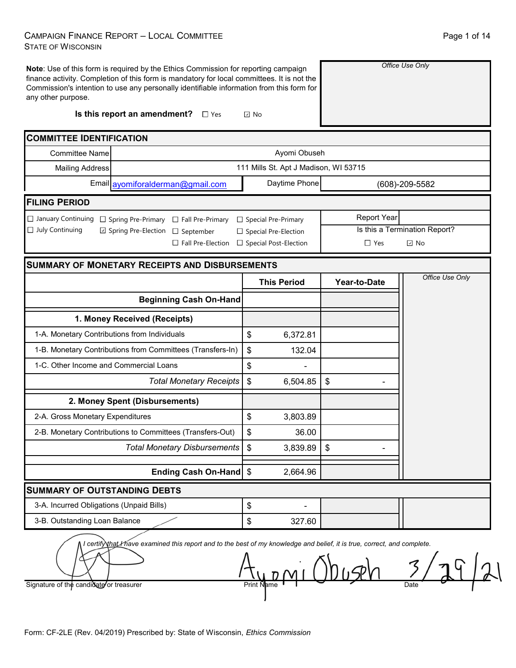### CAMPAIGN FINANCE REPORT – LOCAL COMMITTEE STATE OF WISCONSIN

| any other purpose.                                  | Note: Use of this form is required by the Ethics Commission for reporting campaign<br>finance activity. Completion of this form is mandatory for local committees. It is not the<br>Commission's intention to use any personally identifiable information from this form for |                                       |              |                     | Office Use Only               |
|-----------------------------------------------------|------------------------------------------------------------------------------------------------------------------------------------------------------------------------------------------------------------------------------------------------------------------------------|---------------------------------------|--------------|---------------------|-------------------------------|
|                                                     | Is this report an amendment?<br>$\square$ Yes                                                                                                                                                                                                                                | $\boxdot$ No                          |              |                     |                               |
| <b>COMMITTEE IDENTIFICATION</b>                     |                                                                                                                                                                                                                                                                              |                                       |              |                     |                               |
| <b>Committee Name</b>                               |                                                                                                                                                                                                                                                                              |                                       | Ayomi Obuseh |                     |                               |
| <b>Mailing Address</b>                              |                                                                                                                                                                                                                                                                              | 111 Mills St. Apt J Madison, WI 53715 |              |                     |                               |
|                                                     | Email ayomiforalderman@gmail.com                                                                                                                                                                                                                                             | Daytime Phone                         |              |                     | (608)-209-5582                |
| <b>FILING PERIOD</b>                                |                                                                                                                                                                                                                                                                              |                                       |              |                     |                               |
| $\Box$ January Continuing $\Box$ Spring Pre-Primary | $\Box$ Fall Pre-Primary                                                                                                                                                                                                                                                      | $\Box$ Special Pre-Primary            |              | <b>Report Year</b>  |                               |
| $\Box$ July Continuing                              | □ Spring Pre-Election<br>$\Box$ September                                                                                                                                                                                                                                    | □ Special Pre-Election                |              |                     | Is this a Termination Report? |
|                                                     | $\Box$ Fall Pre-Election                                                                                                                                                                                                                                                     | □ Special Post-Election               |              | $\Box$ Yes          | $\boxdot$ No                  |
|                                                     | <b>SUMMARY OF MONETARY RECEIPTS AND DISBURSEMENTS</b>                                                                                                                                                                                                                        |                                       |              |                     |                               |
|                                                     |                                                                                                                                                                                                                                                                              | <b>This Period</b>                    |              | <b>Year-to-Date</b> | Office Use Only               |
|                                                     | <b>Beginning Cash On-Hand</b>                                                                                                                                                                                                                                                |                                       |              |                     |                               |
|                                                     | 1. Money Received (Receipts)                                                                                                                                                                                                                                                 |                                       |              |                     |                               |
| 1-A. Monetary Contributions from Individuals        |                                                                                                                                                                                                                                                                              | \$                                    | 6,372.81     |                     |                               |
|                                                     | 1-B. Monetary Contributions from Committees (Transfers-In)                                                                                                                                                                                                                   | \$                                    | 132.04       |                     |                               |
| 1-C. Other Income and Commercial Loans              |                                                                                                                                                                                                                                                                              | \$                                    |              |                     |                               |
|                                                     | <b>Total Monetary Receipts</b>                                                                                                                                                                                                                                               | \$                                    | 6,504.85     | \$                  |                               |
|                                                     | 2. Money Spent (Disbursements)                                                                                                                                                                                                                                               |                                       |              |                     |                               |
| 2-A. Gross Monetary Expenditures                    |                                                                                                                                                                                                                                                                              | \$                                    | 3,803.89     |                     |                               |
|                                                     | 2-B. Monetary Contributions to Committees (Transfers-Out)                                                                                                                                                                                                                    | \$                                    | 36.00        |                     |                               |
|                                                     | <b>Total Monetary Disbursements</b>                                                                                                                                                                                                                                          | \$                                    | 3,839.89     | $\mathfrak{S}$      |                               |
|                                                     | <b>Ending Cash On-Hand</b>                                                                                                                                                                                                                                                   | \$                                    | 2,664.96     |                     |                               |
| <b>SUMMARY OF OUTSTANDING DEBTS</b>                 |                                                                                                                                                                                                                                                                              |                                       |              |                     |                               |
| 3-A. Incurred Obligations (Unpaid Bills)            |                                                                                                                                                                                                                                                                              | \$                                    |              |                     |                               |
| 3-B. Outstanding Loan Balance                       |                                                                                                                                                                                                                                                                              | \$                                    | 327.60       |                     |                               |
|                                                     | I certify that I have examined this report and to the best of my knowledge and belief, it is true, correct, and complete.                                                                                                                                                    |                                       |              | べく                  |                               |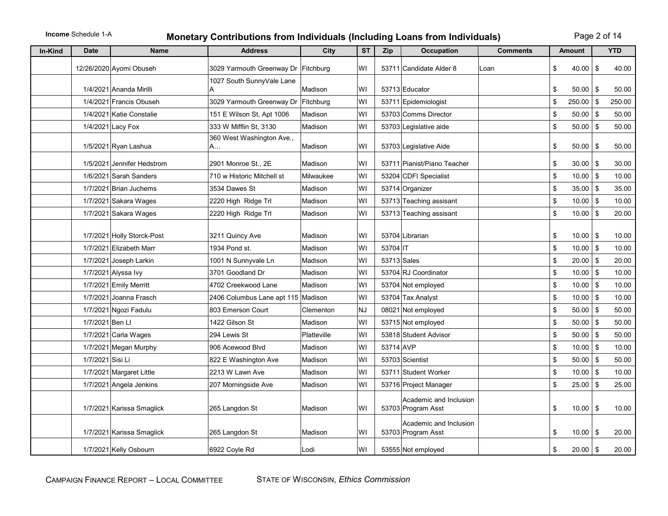# **Income** Schedule 1-A **Monetary Contributions from Individuals (Including Loans from Individuals)** Page 2 of 14

| In-Kind | <b>Date</b>      | <b>Name</b>                | <b>Address</b>                      | City        | <b>ST</b> | Zip       | <b>Occupation</b>                            | <b>Comments</b> | <b>Amount</b>      |      | <b>YTD</b> |
|---------|------------------|----------------------------|-------------------------------------|-------------|-----------|-----------|----------------------------------------------|-----------------|--------------------|------|------------|
|         |                  | 12/26/2020 Ayomi Obuseh    | 3029 Yarmouth Greenway Dr Fitchburg |             | WI        |           | 53711 Candidate Alder 8                      | Loan            | \$<br>40.00        | \$   | 40.00      |
|         |                  |                            | 1027 South SunnyVale Lane           |             |           |           |                                              |                 |                    |      |            |
|         |                  | 1/4/2021 Ananda Mirilli    | Α                                   | Madison     | WI        |           | 53713 Educator                               |                 | \$<br>50.00        | \$   | 50.00      |
|         |                  | 1/4/2021 Francis Obuseh    | 3029 Yarmouth Greenway Dr Fitchburg |             | WI        |           | 53711 Epidemiologist                         |                 | \$<br>250.00       | \$   | 250.00     |
|         |                  | 1/4/2021 Katie Constalie   | 151 E Wilson St, Apt 1006           | Madison     | WI        |           | 53703 Comms Director                         |                 | \$<br>$50.00$   \$ |      | 50.00      |
|         |                  | 1/4/2021 Lacy Fox          | 333 W Mifflin St, 3130              | Madison     | WI        |           | 53703 Legislative aide                       |                 | \$<br>$50.00$ \$   |      | 50.00      |
|         |                  | 1/5/2021 Ryan Lashua       | 360 West Washington Ave.,<br>A.     | Madison     | WI        |           | 53703 Legislative Aide                       |                 | \$<br>50.00        | \$   | 50.00      |
|         |                  | 1/5/2021 Jennifer Hedstrom | 2901 Monroe St., 2E                 | Madison     | WI        |           | 53711 Pianist/Piano Teacher                  |                 | \$<br>$30.00$   \$ |      | 30.00      |
|         |                  | 1/6/2021 Sarah Sanders     | 710 w Historic Mitchell st          | Milwaukee   | WI        |           | 53204 CDFI Specialist                        |                 | \$<br>10.00        | l \$ | 10.00      |
|         |                  | 1/7/2021 Brian Juchems     | 3534 Dawes St                       | Madison     | WI        |           | 53714 Organizer                              |                 | \$<br>$35.00$ \$   |      | 35.00      |
|         |                  | 1/7/2021 Sakara Wages      | 2220 High Ridge Trl                 | Madison     | WI        |           | 53713 Teaching assisant                      |                 | \$<br>10.00        | \$   | 10.00      |
|         |                  | 1/7/2021 Sakara Wages      | 2220 High Ridge Trl                 | Madison     | WI        |           | 53713 Teaching assisant                      |                 | \$<br>$10.00$ \$   |      | 20.00      |
|         |                  | 1/7/2021 Holly Storck-Post | 3211 Quincy Ave                     | Madison     | WI        |           | 53704 Librarian                              |                 | \$<br>$10.00$   \$ |      | 10.00      |
|         |                  | 1/7/2021 Elizabeth Marr    | 1934 Pond st.                       | Madison     | WI        | 53704 IT  |                                              |                 | \$<br>10.00        | \$   | 10.00      |
|         |                  | 1/7/2021 Joseph Larkin     | 1001 N Sunnyvale Ln                 | Madison     | WI        |           | 53713 Sales                                  |                 | \$<br>$20.00$ \$   |      | 20.00      |
|         |                  | 1/7/2021 Alyssa Ivy        | 3701 Goodland Dr                    | Madison     | WI        |           | 53704 RJ Coordinator                         |                 | \$<br>$10.00$ \$   |      | 10.00      |
|         |                  | 1/7/2021 Emily Merritt     | 4702 Creekwood Lane                 | Madison     | WI        |           | 53704 Not employed                           |                 | \$<br>$10.00$ \$   |      | 10.00      |
|         |                  | 1/7/2021 Joanna Frasch     | 2406 Columbus Lane apt 115 Madison  |             | WI        |           | 53704 Tax Analyst                            |                 | \$<br>10.00        | l \$ | 10.00      |
|         |                  | 1/7/2021 Ngozi Fadulu      | 803 Emerson Court                   | Clementon   | <b>NJ</b> |           | 08021 Not employed                           |                 | \$<br>50.00        | l \$ | 50.00      |
|         | 1/7/2021 Ben LI  |                            | 1422 Gilson St                      | Madison     | WI        |           | 53715 Not employed                           |                 | \$<br>$50.00$ \$   |      | 50.00      |
|         |                  | 1/7/2021 Carla Wages       | 294 Lewis St                        | Platteville | WI        |           | 53818 Student Advisor                        |                 | \$<br>$50.00$   \$ |      | 50.00      |
|         |                  | 1/7/2021 Megan Murphy      | 906 Acewood Blvd                    | Madison     | WI        | 53714 AVP |                                              |                 | \$<br>$10.00$   \$ |      | 10.00      |
|         | 1/7/2021 Sisi Li |                            | 822 E Washington Ave                | Madison     | WI        |           | 53703 Scientist                              |                 | \$<br>50.00        | \$   | 50.00      |
|         |                  | 1/7/2021 Margaret Little   | 2213 W Lawn Ave                     | Madison     | WI        |           | 53711 Student Worker                         |                 | \$<br>$10.00$ \$   |      | 10.00      |
|         |                  | 1/7/2021 Angela Jenkins    | 207 Morningside Ave                 | Madison     | W١        |           | 53716 Project Manager                        |                 | \$<br>25.00        | \$   | 25.00      |
|         |                  | 1/7/2021 Karissa Smaglick  | 265 Langdon St                      | Madison     | W١        |           | Academic and Inclusion<br>53703 Program Asst |                 | \$<br>$10.00$   \$ |      | 10.00      |
|         |                  | 1/7/2021 Karissa Smaglick  | 265 Langdon St                      | Madison     | W١        |           | Academic and Inclusion<br>53703 Program Asst |                 | \$<br>$10.00$   \$ |      | 20.00      |
|         |                  | 1/7/2021 Kelly Osbourn     | 6922 Coyle Rd                       | Lodi        | WI        |           | 53555 Not employed                           |                 | \$<br>$20.00$ \$   |      | 20.00      |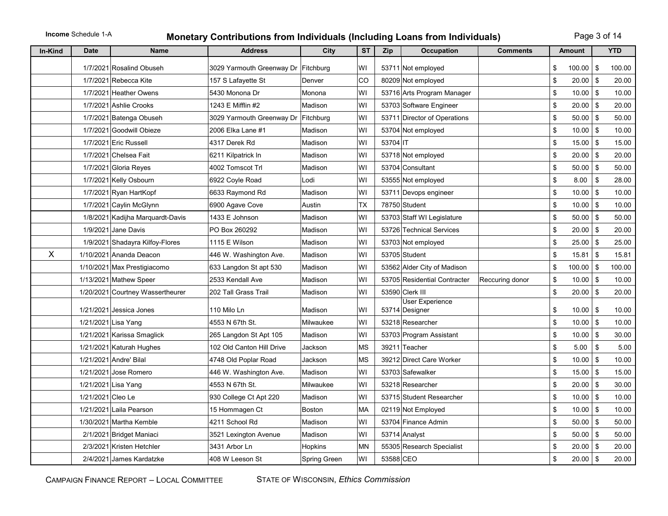# **Income** Schedule 1-A **Monetary Contributions from Individuals (Including Loans from Individuals)** Page 3 of 14

| In-Kind | <b>Date</b>       | <b>Name</b>                      | <b>Address</b>                      | City          | <b>ST</b> | Zip       | <b>Occupation</b>                        | <b>Comments</b> |                           | <b>Amount</b> |               | <b>YTD</b> |
|---------|-------------------|----------------------------------|-------------------------------------|---------------|-----------|-----------|------------------------------------------|-----------------|---------------------------|---------------|---------------|------------|
|         |                   | 1/7/2021 Rosalind Obuseh         | 3029 Yarmouth Greenway Dr Fitchburg |               | W١        |           | 53711 Not employed                       |                 | \$                        | 100.00        | \$            | 100.00     |
|         |                   | 1/7/2021 Rebecca Kite            | 157 S Lafayette St                  | Denver        | CO        |           | 80209 Not employed                       |                 | \$                        | 20.00         | \$            | 20.00      |
|         |                   | 1/7/2021 Heather Owens           | 5430 Monona Dr                      | Monona        | W١        |           | 53716 Arts Program Manager               |                 | \$                        | 10.00         | \$            | 10.00      |
|         |                   | 1/7/2021 Ashlie Crooks           | 1243 E Mifflin #2                   | Madison       | WI        |           | 53703 Software Engineer                  |                 | \$                        | $20.00$ \$    |               | 20.00      |
|         |                   | 1/7/2021 Batenga Obuseh          | 3029 Yarmouth Greenway Dr           | Fitchburg     | WI        |           | 53711 Director of Operations             |                 | \$                        | $50.00$   \$  |               | 50.00      |
|         |                   | 1/7/2021 Goodwill Obieze         | 2006 Elka Lane #1                   | Madison       | W١        |           | 53704 Not employed                       |                 | \$                        | 10.00         | \$            | 10.00      |
|         |                   | 1/7/2021 Eric Russell            | 4317 Derek Rd                       | Madison       | W١        | 53704 IT  |                                          |                 | \$                        | 15.00         | \$            | 15.00      |
|         |                   | 1/7/2021 Chelsea Fait            | 6211 Kilpatrick In                  | Madison       | WI        |           | 53718 Not employed                       |                 | $\sqrt[6]{\frac{1}{2}}$   | 20.00         | \$            | 20.00      |
|         |                   | 1/7/2021 Gloria Reves            | 4002 Tomscot Trl                    | Madison       | W١        |           | 53704 Consultant                         |                 | $\sqrt[6]{\frac{1}{2}}$   | 50.00         | \$            | 50.00      |
|         |                   | 1/7/2021 Kelly Osbourn           | 6922 Coyle Road                     | Lodi          | W١        |           | 53555 Not employed                       |                 | \$                        | 8.00          | \$            | 28.00      |
|         |                   | 1/7/2021 Ryan HartKopf           | 6633 Raymond Rd                     | Madison       | W١        |           | 53711 Devops engineer                    |                 | \$                        | 10.00         | \$            | 10.00      |
|         |                   | 1/7/2021 Caylin McGlynn          | 6900 Agave Cove                     | Austin        | <b>TX</b> |           | 78750 Student                            |                 | \$                        | 10.00         | \$            | 10.00      |
|         |                   | 1/8/2021 Kadijha Marguardt-Davis | 1433 E Johnson                      | Madison       | WI        |           | 53703 Staff WI Legislature               |                 | \$                        | $50.00$ \ \$  |               | 50.00      |
|         |                   | 1/9/2021 Jane Davis              | PO Box 260292                       | Madison       | WI        |           | 53726 Technical Services                 |                 | \$                        | $20.00$ \$    |               | 20.00      |
|         |                   | 1/9/2021 Shadayra Kilfoy-Flores  | 1115 E Wilson                       | Madison       | W١        |           | 53703 Not employed                       |                 | \$                        | 25.00         | \$            | 25.00      |
| X       |                   | 1/10/2021 Ananda Deacon          | 446 W. Washington Ave.              | Madison       | W١        |           | 53705 Student                            |                 | $\boldsymbol{\mathsf{S}}$ | 15.81         | \$            | 15.81      |
|         |                   | 1/10/2021 Max Prestigiacomo      | 633 Langdon St apt 530              | Madison       | W١        |           | 53562 Alder City of Madison              |                 | \$                        | 100.00        | \$            | 100.00     |
|         |                   | 1/13/2021 Mathew Speer           | 2533 Kendall Ave                    | Madison       | WI        |           | 53705 Residential Contracter             | Reccuring donor | \$                        | 10.00         | \$            | 10.00      |
|         |                   | 1/20/2021 Courtney Wassertheurer | 202 Tall Grass Trail                | Madison       | W١        |           | 53590 Clerk III                          |                 | \$                        | 20.00         | \$            | 20.00      |
|         |                   | 1/21/2021 Jessica Jones          | 110 Milo Ln                         | Madison       | W١        |           | <b>User Experience</b><br>53714 Designer |                 | \$                        | 10.00         | \$            | 10.00      |
|         |                   | 1/21/2021 Lisa Yang              | 4553 N 67th St.                     | Milwaukee     | W١        |           | 53218 Researcher                         |                 | \$                        | 10.00         | $\sqrt[6]{2}$ | 10.00      |
|         |                   | 1/21/2021 Karissa Smaglick       | 265 Langdon St Apt 105              | Madison       | WI        |           | 53703 Program Assistant                  |                 | \$                        | 10.00         | \$            | 30.00      |
|         |                   | 1/21/2021 Katurah Hughes         | 102 Old Canton Hill Drive           | Jackson       | МS        |           | 39211 Teacher                            |                 | \$                        | 5.00          | \$            | 5.00       |
|         |                   | 1/21/2021 Andre' Bilal           | 4748 Old Poplar Road                | Jackson       | <b>MS</b> |           | 39212 Direct Care Worker                 |                 | \$                        | 10.00         | \$            | 10.00      |
|         |                   | 1/21/2021 Jose Romero            | 446 W. Washington Ave.              | Madison       | W١        |           | 53703 Safewalker                         |                 | \$                        | 15.00         | \$            | 15.00      |
|         |                   | 1/21/2021 Lisa Yang              | 4553 N 67th St.                     | Milwaukee     | W١        |           | 53218 Researcher                         |                 | \$                        | 20.00         | $\sqrt[6]{2}$ | 30.00      |
|         | 1/21/2021 Cleo Le |                                  | 930 College Ct Apt 220              | Madison       | WI        |           | 53715 Student Researcher                 |                 | $\sqrt[6]{\frac{1}{2}}$   | $10.00$ \$    |               | 10.00      |
|         |                   | 1/21/2021 Laila Pearson          | 15 Hommagen Ct                      | <b>Boston</b> | MA        |           | 02119 Not Employed                       |                 | $\sqrt[6]{\frac{1}{2}}$   | $10.00$ \$    |               | 10.00      |
|         |                   | 1/30/2021 Martha Kemble          | 4211 School Rd                      | Madison       | W١        |           | 53704 Finance Admin                      |                 | \$                        | 50.00         | \$            | 50.00      |
|         |                   | 2/1/2021 Bridget Maniaci         | 3521 Lexington Avenue               | Madison       | W١        |           | 53714 Analyst                            |                 | \$                        | 50.00         | \$            | 50.00      |
|         |                   | 2/3/2021 Kristen Hetchler        | 3431 Arbor Ln                       | Hopkins       | MΝ        |           | 55305 Research Specialist                |                 | $\boldsymbol{\mathsf{S}}$ | 20.00         | \$            | 20.00      |
|         |                   | 2/4/2021 James Kardatzke         | 408 W Leeson St                     | Spring Green  | WI        | 53588 CEO |                                          |                 | \$                        | $20.00$ \$    |               | 20.00      |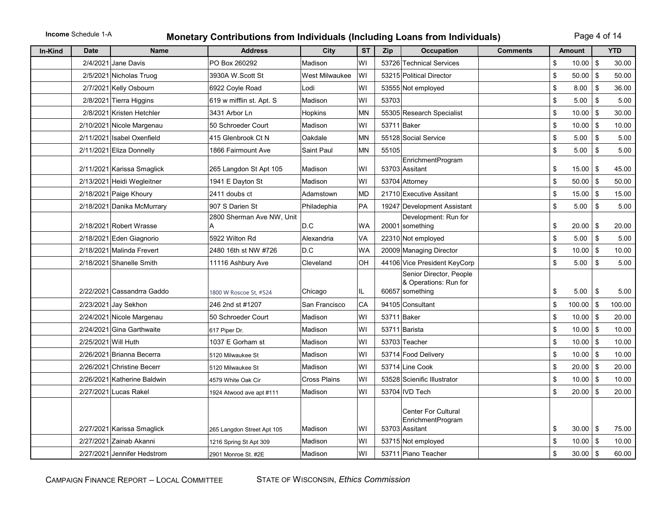### **Income** Schedule 1-A **Monetary Contributions from Individuals (Including Loans from Individuals)** Page 4 of 14

| In-Kind<br><b>Date</b> | <b>Name</b>                 | <b>Address</b>                                | City                | <b>ST</b> | Zip   | <b>Occupation</b>                                   | <b>Comments</b> | <b>Amount</b>              |          | <b>YTD</b>     |
|------------------------|-----------------------------|-----------------------------------------------|---------------------|-----------|-------|-----------------------------------------------------|-----------------|----------------------------|----------|----------------|
| 2/4/2021               | Jane Davis                  | PO Box 260292                                 | Madison             | WI        |       | 53726 Technical Services                            |                 | \$<br>10.00                | \$       | 30.00          |
|                        | 2/5/2021 Nicholas Truog     | 3930A W.Scott St                              | West Milwaukee      | WI        |       | 53215 Political Director                            |                 | \$<br>50.00                | \$       | 50.00          |
|                        | 2/7/2021 Kelly Osbourn      | 6922 Coyle Road                               | Lodi                | WI        |       | 53555 Not employed                                  |                 | \$<br>8.00                 | \$       | 36.00          |
|                        | 2/8/2021 Tierra Higgins     | 619 w mifflin st. Apt. S                      | Madison             | WI        | 53703 |                                                     |                 | \$<br>5.00                 | \$       | 5.00           |
|                        | 2/8/2021 Kristen Hetchler   | 3431 Arbor Ln                                 | <b>Hopkins</b>      | <b>MN</b> |       | 55305 Research Specialist                           |                 | \$<br>10.00                | \$       | 30.00          |
|                        | 2/10/2021 Nicole Margenau   | 50 Schroeder Court                            | Madison             | WI        |       | 53711 Baker                                         |                 | \$<br>$10.00$ \$           |          | 10.00          |
|                        | 2/11/2021 Isabel Oxenfield  | 415 Glenbrook Ct N                            | Oakdale             | <b>MN</b> |       | 55128 Social Service                                |                 | \$<br>5.00                 | <b>S</b> | 5.00           |
|                        | 2/11/2021 Eliza Donnelly    | 1866 Fairmount Ave                            | Saint Paul          | MN        | 55105 |                                                     |                 | \$<br>5.00                 | \$       | 5.00           |
|                        |                             |                                               |                     | WI        |       | EnrichmentProgram                                   |                 | \$                         |          |                |
|                        | 2/11/2021 Karissa Smaglick  | 265 Langdon St Apt 105                        | Madison<br>Madison  | WI        |       | 53703 Assitant                                      |                 | \$<br>$15.00$   \$         |          | 45.00          |
|                        | 2/13/2021 Heidi Wegleitner  | 1941 E Dayton St<br>2411 doubs ct             | Adamstown           | <b>MD</b> |       | 53704 Attorney<br>21710 Executive Assitant          |                 | $50.00$   \$<br>$15.00$ \$ |          | 50.00<br>15.00 |
|                        | 2/18/2021 Paige Khoury      | 907 S Darien St                               |                     | PA        |       |                                                     |                 | \$                         |          |                |
|                        | 2/18/2021 Danika McMurrary  | 2800 Sherman Ave NW, Unit                     | Philadephia         |           |       | 19247 Development Assistant<br>Development: Run for |                 | \$<br>5.00                 | \$       | 5.00           |
|                        | 2/18/2021 Robert Wrasse     |                                               | D.C                 | <b>WA</b> |       | 20001 something                                     |                 | \$<br>20.00                | \$       | 20.00          |
|                        | 2/18/2021 Eden Giagnorio    | 5922 Wilton Rd                                | Alexandria          | VA        |       | 22310 Not employed                                  |                 | \$<br>5.00                 | <b>S</b> | 5.00           |
|                        | 2/18/2021 Malinda Frevert   | 2480 16th st NW #726                          | D.C                 | <b>WA</b> |       | 20009 Managing Director                             |                 | \$<br>10.00                | \$       | 10.00          |
|                        | 2/18/2021 Shanelle Smith    | 11116 Ashbury Ave                             | Cleveland           | OH        |       | 44106 Vice President KeyCorp                        |                 | \$<br>5.00                 | \$       | 5.00           |
|                        |                             |                                               |                     |           |       | Senior Director, People                             |                 |                            |          |                |
|                        | 2/22/2021 Cassandrra Gaddo  | 1800 W Roscoe St, #524                        | Chicago             | IL.       |       | & Operations: Run for<br>60657 something            |                 | \$<br>5.00                 | \$       | 5.00           |
|                        | 2/23/2021 Jay Sekhon        | 246 2nd st #1207                              | San Francisco       | CA        |       | 94105 Consultant                                    |                 | \$<br>$100.00$ \$          |          | 100.00         |
|                        | 2/24/2021 Nicole Margenau   | 50 Schroeder Court                            | Madison             | WI        |       | 53711 Baker                                         |                 | \$<br>10.00                | l \$     | 20.00          |
|                        | 2/24/2021 Gina Garthwaite   |                                               | Madison             | WI        |       | 53711 Barista                                       |                 | \$<br>$10.00$ \ \$         |          | 10.00          |
|                        | 2/25/2021 Will Huth         | 617 Piper Dr.<br>1037 E Gorham st             | Madison             | WI        |       | 53703 Teacher                                       |                 | \$<br>$10.00$   \$         |          | 10.00          |
|                        | 2/26/2021 Brianna Becerra   | 5120 Milwaukee St                             | Madison             | WI        |       | 53714 Food Delivery                                 |                 | \$<br>$10.00$   \$         |          | 10.00          |
|                        | 2/26/2021 Christine Becerr  | 5120 Milwaukee St                             | Madison             | WI        |       | 53714 Line Cook                                     |                 | \$<br>$20.00$ \ \$         |          | 20.00          |
|                        | 2/26/2021 Katherine Baldwin | 4579 White Oak Cir                            | <b>Cross Plains</b> | WI        |       | 53528 Scienific Illustrator                         |                 | \$<br>$10.00$ \$           |          | 10.00          |
|                        | 2/27/2021 Lucas Rakel       |                                               | Madison             | WI        |       | 53704 IVD Tech                                      |                 | \$<br>$20.00$ \ \$         |          | 20.00          |
|                        |                             | 1924 Atwood ave apt #111                      |                     |           |       |                                                     |                 |                            |          |                |
|                        |                             |                                               |                     |           |       | <b>Center For Cultural</b>                          |                 |                            |          |                |
|                        | 2/27/2021 Karissa Smaglick  |                                               | Madison             | WI        |       | EnrichmentProgram<br>53703 Assitant                 |                 | \$<br>$30.00$   \$         |          | 75.00          |
|                        | 2/27/2021 Zainab Akanni     | 265 Langdon Street Apt 105                    | Madison             | WI        |       | 53715 Not employed                                  |                 | \$<br>$10.00$   \$         |          | 10.00          |
|                        | 2/27/2021 Jennifer Hedstrom | 1216 Spring St Apt 309<br>2901 Monroe St. #2E | Madison             | WI        |       | 53711 Piano Teacher                                 |                 | \$<br>$30.00$ \$           |          | 60.00          |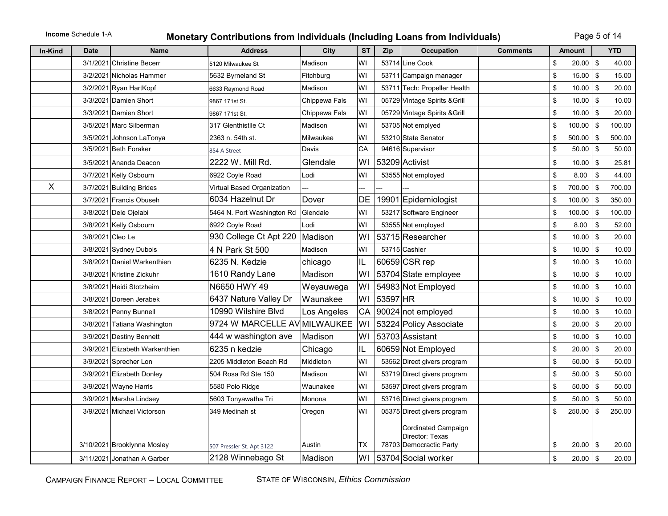# **Income** Schedule 1-A **Monetary Contributions from Individuals (Including Loans from Individuals)** Page 5 of 14

| In-Kind      | <b>Date</b>      | <b>Name</b>                    | <b>Address</b>               | City          | <b>ST</b> | Zip      | <b>Occupation</b>                                                 | <b>Comments</b> | <b>Amount</b>       |      | <b>YTD</b> |
|--------------|------------------|--------------------------------|------------------------------|---------------|-----------|----------|-------------------------------------------------------------------|-----------------|---------------------|------|------------|
|              |                  | 3/1/2021 Christine Becerr      | 5120 Milwaukee St            | Madison       | W١        |          | 53714 Line Cook                                                   |                 | \$<br>20.00         | \$   | 40.00      |
|              |                  | 3/2/2021 Nicholas Hammer       | 5632 Byrneland St            | Fitchburg     | W١        |          | 53711 Campaign manager                                            |                 | \$<br>$15.00$ \ \$  |      | 15.00      |
|              |                  | 3/2/2021 Ryan HartKopf         | 6633 Raymond Road            | Madison       | W١        |          | 53711 Tech: Propeller Health                                      |                 | \$<br>$10.00$   \$  |      | 20.00      |
|              |                  | 3/3/2021 Damien Short          | 9867 171st St.               | Chippewa Fals | W١        |          | 05729 Vintage Spirits & Grill                                     |                 | \$<br>$10.00$   \$  |      | 10.00      |
|              |                  | 3/3/2021 Damien Short          | 9867 171st St.               | Chippewa Fals | W١        |          | 05729 Vintage Spirits & Grill                                     |                 | \$<br>10.00         | \$   | 20.00      |
|              |                  | 3/5/2021 Marc Silberman        | 317 Glenthistlle Ct          | Madison       | W١        |          | 53705 Not emplyed                                                 |                 | \$<br>100.00        | \$   | 100.00     |
|              |                  | 3/5/2021 Johnson LaTonya       | 2363 n. 54th st.             | Milwaukee     | WI        |          | 53210 State Senator                                               |                 | \$<br>$500.00$ \$   |      | 500.00     |
|              |                  | 3/5/2021 Beth Foraker          | 854 A Street                 | Davis         | CA        |          | 94616 Supervisor                                                  |                 | \$<br>$50.00$   \$  |      | 50.00      |
|              |                  | 3/5/2021 Ananda Deacon         | 2222 W. Mill Rd.             | Glendale      | WI        |          | 53209 Activist                                                    |                 | \$<br>10.00         | \$   | 25.81      |
|              |                  | 3/7/2021 Kelly Osbourn         | 6922 Coyle Road              | Lodi          | W١        |          | 53555 Not employed                                                |                 | \$<br>8.00          | \$   | 44.00      |
| $\mathsf{X}$ |                  | 3/7/2021 Building Brides       | Virtual Based Organization   |               |           |          |                                                                   |                 | \$<br>700.00        | \$   | 700.00     |
|              |                  | 3/7/2021 Francis Obuseh        | 6034 Hazelnut Dr             | Dover         | DE        |          | 19901 Epidemiologist                                              |                 | \$<br>$100.00$   \$ |      | 350.00     |
|              |                  | 3/8/2021 Dele Ojelabi          | 5464 N. Port Washington Rd   | Glendale      | W١        |          | 53217 Software Engineer                                           |                 | \$<br>$100.00$   \$ |      | 100.00     |
|              |                  | 3/8/2021 Kelly Osbourn         | 6922 Coyle Road              | Lodi          | W١        |          | 53555 Not employed                                                |                 | \$<br>8.00          | \$   | 52.00      |
|              | 3/8/2021 Cleo Le |                                | 930 College Ct Apt 220       | Madison       | WI        |          | 53715 Researcher                                                  |                 | \$<br>$10.00$ \$    |      | 20.00      |
|              |                  | 3/8/2021 Sydney Dubois         | 4 N Park St 500              | Madison       | WI        |          | 53715 Cashier                                                     |                 | \$<br>$10.00$ \$    |      | 10.00      |
|              |                  | 3/8/2021 Daniel Warkenthien    | 6235 N. Kedzie               | chicago       | IL        |          | 60659 CSR rep                                                     |                 | \$<br>$10.00$ \$    |      | 10.00      |
|              |                  | 3/8/2021 Kristine Zickuhr      | 1610 Randy Lane              | Madison       | W١        |          | 53704 State employee                                              |                 | \$<br>10.00         | l \$ | 10.00      |
|              |                  | 3/8/2021 Heidi Stotzheim       | N6650 HWY 49                 | Weyauwega     | WI        |          | 54983 Not Employed                                                |                 | \$<br>$10.00$ \ \$  |      | 10.00      |
|              |                  | 3/8/2021 Doreen Jerabek        | 6437 Nature Valley Dr        | Waunakee      | WI        | 53597 HR |                                                                   |                 | \$<br>$10.00$ \$    |      | 10.00      |
|              |                  | 3/8/2021 Penny Bunnell         | 10990 Wilshire Blvd          | Los Angeles   | CA        |          | 90024 not employed                                                |                 | \$<br>$10.00$   \$  |      | 10.00      |
|              |                  | 3/8/2021 Tatiana Washington    | 9724 W MARCELLE AV MILWAUKEE |               | WI        |          | 53224 Policy Associate                                            |                 | \$<br>$20.00$   \$  |      | 20.00      |
|              |                  | 3/9/2021 Destiny Bennett       | 444 w washington ave         | Madison       | WI        |          | 53703 Assistant                                                   |                 | \$<br>$10.00$ \ \$  |      | 10.00      |
|              |                  | 3/9/2021 Elizabeth Warkenthien | 6235 n kedzie                | Chicago       | IL        |          | 60659 Not Employed                                                |                 | \$<br>$20.00$ \$    |      | 20.00      |
|              |                  | 3/9/2021 Sprecher Lon          | 2205 Middleton Beach Rd      | Middleton     | WI        |          | 53562 Direct givers program                                       |                 | \$<br>$50.00$ \$    |      | 50.00      |
|              |                  | 3/9/2021 Elizabeth Donley      | 504 Rosa Rd Ste 150          | Madison       | W١        |          | 53719 Direct givers program                                       |                 | \$<br>$50.00$   \$  |      | 50.00      |
|              |                  | 3/9/2021 Wayne Harris          | 5580 Polo Ridge              | Waunakee      | W١        |          | 53597 Direct givers program                                       |                 | \$<br>50.00         | \$   | 50.00      |
|              |                  | 3/9/2021 Marsha Lindsey        | 5603 Tonyawatha Tri          | Monona        | W١        |          | 53716 Direct givers program                                       |                 | \$<br>50.00         | 5    | 50.00      |
|              |                  | 3/9/2021 Michael Victorson     | 349 Medinah st               | Oregon        | W١        |          | 05375 Direct givers program                                       |                 | \$<br>250.00        | \$   | 250.00     |
|              |                  | 3/10/2021 Brooklynna Mosley    | 507 Pressler St. Apt 3122    | Austin        | ТX        |          | Cordinated Campaign<br>Director: Texas<br>78703 Democractic Party |                 | \$<br>$20.00$   \$  |      | 20.00      |
|              |                  | 3/11/2021 Jonathan A Garber    | 2128 Winnebago St            | Madison       | WI        |          | 53704 Social worker                                               |                 | \$<br>$20.00$ \$    |      | 20.00      |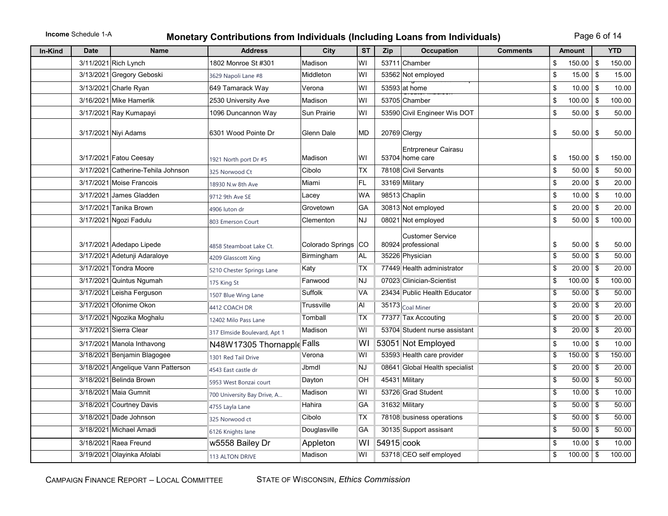# **Income** Schedule 1-A **Monetary Contributions from Individuals (Including Loans from Individuals)** Page 6 of 14

| <b>In-Kind</b> | <b>Date</b> | <b>Name</b>                        | <b>Address</b>               | City             | <b>ST</b> | Zip        | <b>Occupation</b>                             | <b>Comments</b> |                 | <b>Amount</b> |      | <b>YTD</b> |
|----------------|-------------|------------------------------------|------------------------------|------------------|-----------|------------|-----------------------------------------------|-----------------|-----------------|---------------|------|------------|
|                |             | 3/11/2021 Rich Lynch               | 1802 Monroe St #301          | Madison          | WI        |            | 53711 Chamber                                 |                 | \$              | $150.00$ \$   |      | 150.00     |
|                |             | 3/13/2021 Gregory Geboski          | 3629 Napoli Lane #8          | Middleton        | WI        |            | 53562 Not employed                            |                 | \$              | $15.00$ \$    |      | 15.00      |
|                |             | 3/13/2021 Charle Ryan              | 649 Tamarack Way             | Verona           | WI        |            | 53593 at home                                 |                 | \$              | $10.00$ \ \$  |      | 10.00      |
|                |             | 3/16/2021 Mike Hamerlik            | 2530 University Ave          | Madison          | WI        |            | 53705 Chamber                                 |                 | \$              | $100.00$   \$ |      | 100.00     |
|                |             | 3/17/2021 Ray Kumapayi             | 1096 Duncannon Way           | Sun Prairie      | WI        |            | 53590 Civil Engineer Wis DOT                  |                 | \$              | $50.00$   \$  |      | 50.00      |
|                |             | 3/17/2021 Niyi Adams               | 6301 Wood Pointe Dr          | Glenn Dale       | <b>MD</b> |            | 20769 Clergy                                  |                 | \$              | $50.00$ \ \$  |      | 50.00      |
|                |             | 3/17/2021 Fatou Ceesay             | 1921 North port Dr #5        | Madison          | WI        |            | Entrpreneur Cairasu<br>53704 home care        |                 | \$              | $150.00$   \$ |      | 150.00     |
|                |             | 3/17/2021 Catherine-Tehila Johnson | 325 Norwood Ct               | Cibolo           | <b>TX</b> |            | 78108 Civil Servants                          |                 | \$              | $50.00$ \$    |      | 50.00      |
|                |             | 3/17/2021 Moise Francois           | 18930 N.w 8th Ave            | Miami            | FL        |            | 33169 Military                                |                 | \$              | $20.00$ \$    |      | 20.00      |
|                |             | 3/17/2021 James Gladden            | 9712 9th Ave SE              | Lacey            | <b>WA</b> |            | 98513 Chaplin                                 |                 | \$              | $10.00$ \$    |      | 10.00      |
|                |             | 3/17/2021 Tanika Brown             | 4906 luton dr                | Grovetown        | GA        |            | 30813 Not employed                            |                 | \$              | $20.00$ \$    |      | 20.00      |
|                |             | 3/17/2021 Ngozi Fadulu             | 803 Emerson Court            | Clementon        | <b>NJ</b> |            | 08021 Not employed                            |                 | \$              | 50.00         | -\$  | 100.00     |
|                |             | 3/17/2021 Adedapo Lipede           | 4858 Steamboat Lake Ct.      | Colorado Springs | <b>CO</b> |            | <b>Customer Service</b><br>80924 professional |                 | \$              | $50.00$   \$  |      | 50.00      |
|                |             | 3/17/2021 Adetunji Adaraloye       | 4209 Glasscott Xing          | Birmingham       | AL        |            | 35226 Physician                               |                 | $\overline{\$}$ | $50.00$ \$    |      | 50.00      |
|                |             | 3/17/2021 Tondra Moore             | 5210 Chester Springs Lane    | Katy             | ТX        |            | 77449 Health administrator                    |                 | \$              | $20.00$ \$    |      | 20.00      |
|                |             | 3/17/2021 Quintus Ngumah           | 175 King St                  | Fanwood          | NJ        |            | 07023 Clinician-Scientist                     |                 | \$              | $100.00$   \$ |      | 100.00     |
|                |             | 3/17/2021 Leisha Ferguson          | 1507 Blue Wing Lane          | Suffolk          | VA        |            | 23434 Public Health Educator                  |                 | \$              | $50.00$   \$  |      | 50.00      |
|                |             | 3/17/2021 Ofonime Okon             | 4412 COACH DR                | Trussville       | Al        |            | 35173 Coal Miner                              |                 | \$              | $20.00$ \$    |      | 20.00      |
|                |             | 3/17/2021 Ngozika Moghalu          | 12402 Milo Pass Lane         | Tomball          | <b>TX</b> |            | 77377 Tax Accouting                           |                 | \$              | $20.00$ \$    |      | 20.00      |
|                |             | 3/17/2021 Sierra Clear             | 317 Elmside Boulevard, Apt 1 | Madison          | W١        |            | 53704 Student nurse assistant                 |                 | \$              | 20.00         | l \$ | 20.00      |
|                |             | 3/17/2021 Manola Inthavong         | N48W17305 Thornapple Falls   |                  | WI        |            | 53051 Not Employed                            |                 | \$              | $10.00$ \$    |      | 10.00      |
|                |             | 3/18/2021 Benjamin Blagogee        | 1301 Red Tail Drive          | Verona           | W١        |            | 53593 Health care provider                    |                 | \$              | $150.00$ \$   |      | 150.00     |
|                |             | 3/18/2021 Angelique Vann Patterson | 4543 East castle dr          | Jbmdl            | NJ        |            | 08641 Global Health specialist                |                 | \$              | $20.00$ \$    |      | 20.00      |
|                |             | 3/18/2021 Belinda Brown            | 5953 West Bonzai court       | Dayton           | OН        |            | 45431 Military                                |                 | \$              | $50.00$ \ \$  |      | 50.00      |
|                |             | 3/18/2021 Maia Gumnit              | 700 University Bay Drive, A  | Madison          | WI        |            | 53726 Grad Student                            |                 | \$              | $10.00$ \$    |      | 10.00      |
|                |             | 3/18/2021 Courtney Davis           | 4755 Layla Lane              | Hahira           | GA        |            | 31632 Military                                |                 | \$              | $50.00$ \$    |      | 50.00      |
|                |             | 3/18/2021 Dade Johnson             | 325 Norwood ct               | Cibolo           | TX        |            | 78108 business operations                     |                 | \$              | $50.00$ \ \$  |      | 50.00      |
|                |             | 3/18/2021 Michael Amadi            | 6126 Knights lane            | Douglasville     | GА        |            | 30135 Support assisant                        |                 | \$              | 50.00         | l \$ | 50.00      |
|                |             | 3/18/2021 Raea Freund              | w5558 Bailey Dr              | Appleton         | W١        | 54915 cook |                                               |                 | \$              | $10.00$ \$    |      | 10.00      |
|                |             | 3/19/2021 Olayinka Afolabi         | <b>113 ALTON DRIVE</b>       | Madison          | W١        |            | 53718 CEO self employed                       |                 | \$              | $100.00$ \ \$ |      | 100.00     |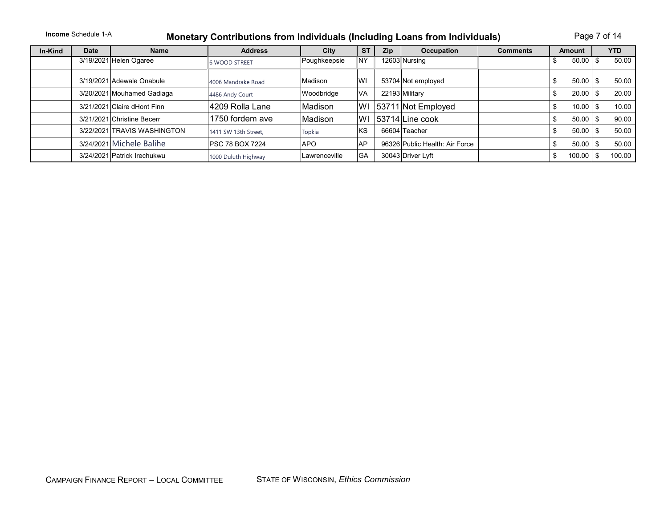### **Income** Schedule 1-A **Monetary Contributions from Individuals (Including Loans from Individuals)** Page 7 of 14

| In-Kind | <b>Date</b> | <b>Name</b>                 | <b>Address</b>          | City           | <b>ST</b> | <b>Zip</b> | Occupation                     | <b>Comments</b> | <b>Amount</b> | YTD.   |
|---------|-------------|-----------------------------|-------------------------|----------------|-----------|------------|--------------------------------|-----------------|---------------|--------|
|         |             | 3/19/2021 Helen Ogaree      | <b>6 WOOD STREET</b>    | Poughkeepsie   | <b>NY</b> |            | 12603 Nursing                  |                 | 50.00         | 50.00  |
|         |             | 3/19/2021 Adewale Onabule   | 4006 Mandrake Road      | <b>Madison</b> | lwı       |            | 53704 Not employed             |                 | 50.00         | 50.00  |
|         |             | 3/20/2021 Mouhamed Gadiaga  | 4486 Andy Court         | Woodbridge     | lVA       |            | 22193 Military                 |                 | 20.00         | 20.00  |
|         |             | 3/21/2021 Claire dHont Finn | 4209 Rolla Lane         | Madison        | WI        |            | 53711 Not Employed             |                 | 10.00         | 10.00  |
|         |             | 3/21/2021 Christine Becerr  | 1750 fordem ave         | Madison        | WI        |            | 53714 Line cook                |                 | 50.00         | 90.00  |
|         |             | 3/22/2021 TRAVIS WASHINGTON | 1411 SW 13th Street.    | Topkia         | lĸs       |            | 66604 Teacher                  |                 | 50.00         | 50.00  |
|         |             | 3/24/2021 Michele Balihe    | <b>IPSC 78 BOX 7224</b> | <b>APO</b>     | AP        |            | 96326 Public Health: Air Force |                 | 50.00         | 50.00  |
|         |             | 3/24/2021 Patrick Irechukwu | 1000 Duluth Highway     | Lawrenceville  | lGA       |            | 30043 Driver Lyft              |                 | 100.00        | 100.00 |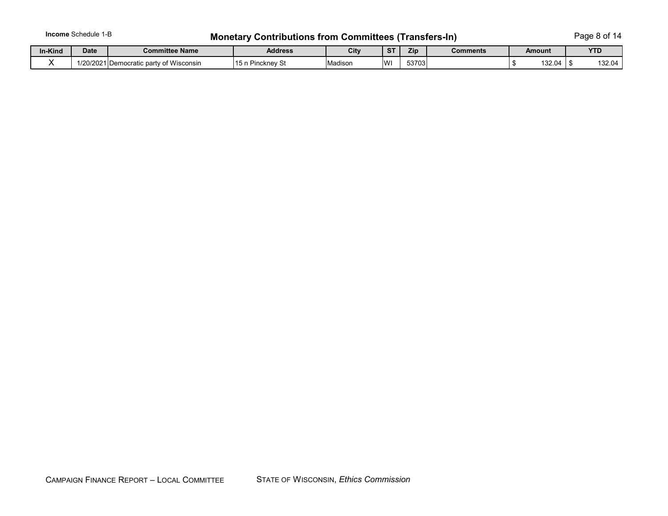# **Income** Schedule 1-B **Monetary Contributions from Committees (Transfers-In)** Page 8 of 14

| In-Kind | <b>Date</b>         | <b>Committee Name</b>                 | <b>Address</b>                      | City    |          | Zip   | <b>Comments</b> | Amount | <b>VTD</b><br>. |
|---------|---------------------|---------------------------------------|-------------------------------------|---------|----------|-------|-----------------|--------|-----------------|
|         | 10000010<br>1201202 | ∴of Wisconsin<br>IDemocratic party of | ີ <sup>→</sup> Pincknev ⊖ັ<br>וו טו | Madison | <b>W</b> | 53703 |                 | 132.04 | 132.04          |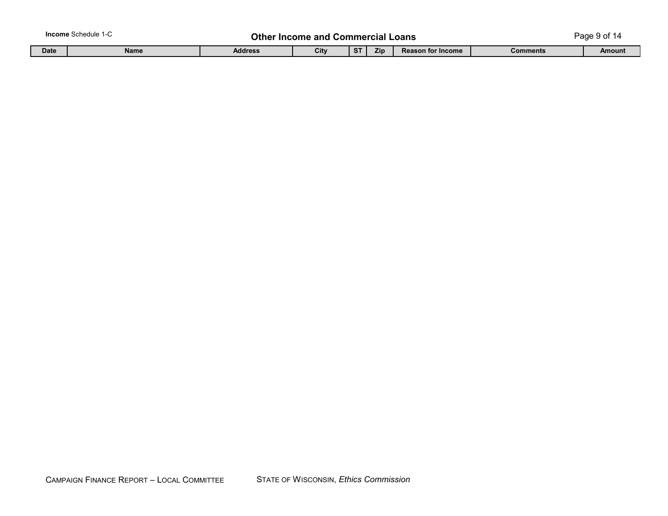|             | <b>Income</b> Schedule 1-∪ |                | <b>Other Income and Commercial Loans</b> |             |            |                          |          | Page 9 of 14 |
|-------------|----------------------------|----------------|------------------------------------------|-------------|------------|--------------------------|----------|--------------|
| <b>Date</b> | <b>Name</b>                | <b>Address</b> | City                                     | $C$ T<br>০। | <b>Zip</b> | <b>Reason for Income</b> | Comments | Amount       |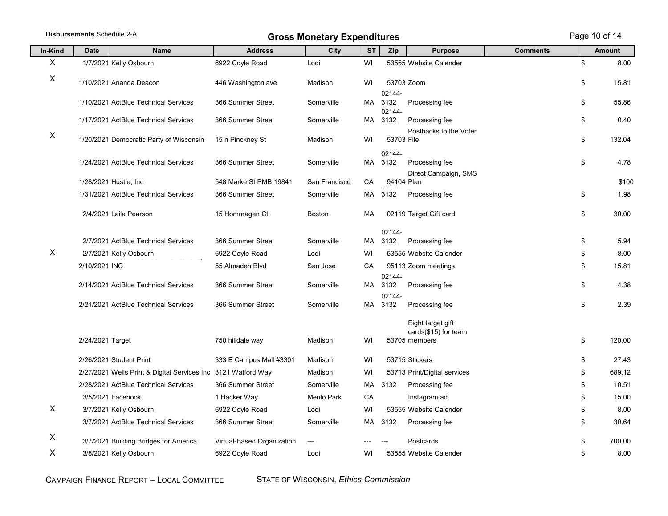|                  | Disbursements Schedule 2-A |                                                               |                            | <b>Gross Monetary Expenditures</b> |           |                          |                                              |                 | Page 10 of 14 |
|------------------|----------------------------|---------------------------------------------------------------|----------------------------|------------------------------------|-----------|--------------------------|----------------------------------------------|-----------------|---------------|
| In-Kind          | <b>Date</b>                | <b>Name</b>                                                   | <b>Address</b>             | <b>City</b>                        | <b>ST</b> | Zip                      | <b>Purpose</b>                               | <b>Comments</b> | <b>Amount</b> |
| $\boldsymbol{X}$ |                            | 1/7/2021 Kelly Osbourn                                        | 6922 Coyle Road            | Lodi                               | WI        |                          | 53555 Website Calender                       |                 | \$<br>8.00    |
| $\boldsymbol{X}$ |                            | 1/10/2021 Ananda Deacon                                       | 446 Washington ave         | Madison                            | WI        |                          | 53703 Zoom                                   |                 | \$<br>15.81   |
|                  |                            | 1/10/2021 ActBlue Technical Services                          | 366 Summer Street          | Somerville                         | MA        | 02144-<br>3132<br>02144- | Processing fee                               |                 | \$<br>55.86   |
|                  |                            | 1/17/2021 ActBlue Technical Services                          | 366 Summer Street          | Somerville                         | MA        | 3132                     | Processing fee                               |                 | \$<br>0.40    |
| X                |                            | 1/20/2021 Democratic Party of Wisconsin                       | 15 n Pinckney St           | Madison                            | WI        | 53703 File               | Postbacks to the Voter                       |                 | \$<br>132.04  |
|                  |                            | 1/24/2021 ActBlue Technical Services                          | 366 Summer Street          | Somerville                         | MA        | 02144-<br>3132           | Processing fee<br>Direct Campaign, SMS       |                 | \$<br>4.78    |
|                  |                            | 1/28/2021 Hustle, Inc.                                        | 548 Marke St PMB 19841     | San Francisco                      | CA        | 94104 Plan               |                                              |                 | \$100         |
|                  |                            | 1/31/2021 ActBlue Technical Services                          | 366 Summer Street          | Somerville                         | МA        | 3132                     | Processing fee                               |                 | \$<br>1.98    |
|                  |                            | 2/4/2021 Laila Pearson                                        | 15 Hommagen Ct             | Boston                             | MA        |                          | 02119 Target Gift card                       |                 | \$<br>30.00   |
|                  |                            | 2/7/2021 ActBlue Technical Services                           | 366 Summer Street          | Somerville                         | MA        | 02144-<br>3132           | Processing fee                               |                 | \$<br>5.94    |
| X                |                            | 2/7/2021 Kelly Osbourn                                        | 6922 Coyle Road            | Lodi                               | WI        |                          | 53555 Website Calender                       |                 | \$<br>8.00    |
|                  | 2/10/2021 INC              |                                                               | 55 Almaden Blvd            | San Jose                           | CA        |                          | 95113 Zoom meetings                          |                 | \$<br>15.81   |
|                  |                            |                                                               |                            |                                    |           | 02144-                   |                                              |                 |               |
|                  |                            | 2/14/2021 ActBlue Technical Services                          | 366 Summer Street          | Somerville                         | MA        | 3132<br>02144-           | Processing fee                               |                 | \$<br>4.38    |
|                  |                            | 2/21/2021 ActBlue Technical Services                          | 366 Summer Street          | Somerville                         | MA        | 3132                     | Processing fee                               |                 | \$<br>2.39    |
|                  |                            |                                                               |                            |                                    |           |                          | Eight target gift<br>cards $(\$15)$ for team |                 |               |
|                  | 2/24/2021 Target           |                                                               | 750 hilldale way           | Madison                            | WI        |                          | 53705 members                                |                 | \$<br>120.00  |
|                  |                            | 2/26/2021 Student Print                                       | 333 E Campus Mall #3301    | Madison                            | WI        |                          | 53715 Stickers                               |                 | \$<br>27.43   |
|                  |                            | 2/27/2021 Wells Print & Digital Services Inc 3121 Watford Way |                            | Madison                            | WI        |                          | 53713 Print/Digital services                 |                 | \$<br>689.12  |
|                  |                            | 2/28/2021 ActBlue Technical Services                          | 366 Summer Street          | Somerville                         | МA        | 3132                     | Processing fee                               |                 | \$<br>10.51   |
|                  |                            | 3/5/2021 Facebook                                             | 1 Hacker Way               | Menlo Park                         | CA        |                          | Instagram ad                                 |                 | \$<br>15.00   |
| X                |                            | 3/7/2021 Kelly Osbourn                                        | 6922 Coyle Road            | Lodi                               | WI        |                          | 53555 Website Calender                       |                 | \$<br>8.00    |
|                  |                            | 3/7/2021 ActBlue Technical Services                           | 366 Summer Street          | Somerville                         | MA        | 3132                     | Processing fee                               |                 | \$<br>30.64   |
| X                |                            | 3/7/2021 Building Bridges for America                         | Virtual-Based Organization |                                    |           |                          | Postcards                                    |                 | \$<br>700.00  |
| X                |                            | 3/8/2021 Kelly Osbourn                                        | 6922 Coyle Road            | Lodi                               | WI        |                          | 53555 Website Calender                       |                 | \$<br>8.00    |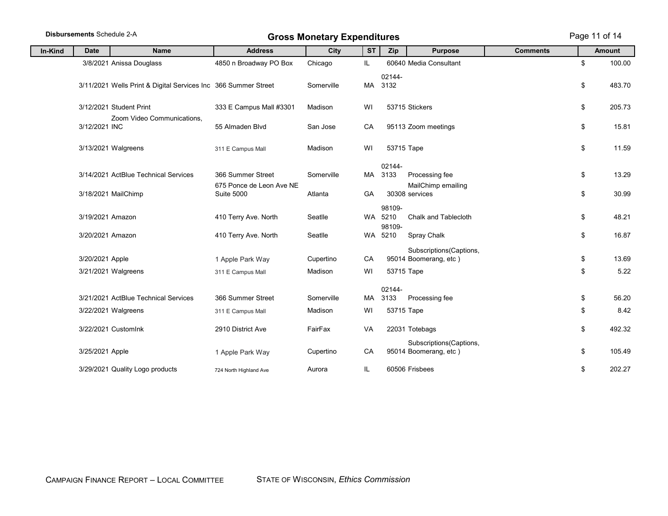|         | <b>Disbursements Schedule 2-A</b> |                                                                |                                               | <b>Gross Monetary Expenditures</b> |           |                          |                                                                |                 |          | Page 11 of 14 |
|---------|-----------------------------------|----------------------------------------------------------------|-----------------------------------------------|------------------------------------|-----------|--------------------------|----------------------------------------------------------------|-----------------|----------|---------------|
| In-Kind | <b>Date</b>                       | <b>Name</b>                                                    | <b>Address</b>                                | City                               | <b>ST</b> | Zip                      | <b>Purpose</b>                                                 | <b>Comments</b> |          | <b>Amount</b> |
|         |                                   | 3/8/2021 Anissa Douglass                                       | 4850 n Broadway PO Box                        | Chicago                            | IL        |                          | 60640 Media Consultant                                         |                 | \$       | 100.00        |
|         |                                   | 3/11/2021 Wells Print & Digital Services Inc 366 Summer Street |                                               | Somerville                         | MA        | 02144-<br>3132           |                                                                |                 | \$       | 483.70        |
|         |                                   | 3/12/2021 Student Print                                        | 333 E Campus Mall #3301                       | Madison                            | WI        |                          | 53715 Stickers                                                 |                 | \$       | 205.73        |
|         | 3/12/2021 INC                     | Zoom Video Communications.                                     | 55 Almaden Blvd                               | San Jose                           | CA        |                          | 95113 Zoom meetings                                            |                 | \$       | 15.81         |
|         |                                   | 3/13/2021 Walgreens                                            | 311 E Campus Mall                             | Madison                            | WI        |                          | 53715 Tape                                                     |                 | \$       | 11.59         |
|         |                                   | 3/14/2021 ActBlue Technical Services                           | 366 Summer Street                             | Somerville                         |           | 02144-<br>MA 3133        | Processing fee                                                 |                 | \$       | 13.29         |
|         |                                   | 3/18/2021 MailChimp                                            | 675 Ponce de Leon Ave NE<br><b>Suite 5000</b> | Atlanta                            | GA        |                          | MailChimp emailing<br>30308 services                           |                 | \$       | 30.99         |
|         | 3/19/2021 Amazon                  |                                                                | 410 Terry Ave. North                          | Seatlle                            | <b>WA</b> | 98109-<br>5210<br>98109- | Chalk and Tablecloth                                           |                 | \$       | 48.21         |
|         | 3/20/2021 Amazon                  |                                                                | 410 Terry Ave. North                          | Seatlle                            | WA        | 5210                     | Spray Chalk                                                    |                 | \$       | 16.87         |
|         | 3/20/2021 Apple                   | 3/21/2021 Walgreens                                            | 1 Apple Park Way<br>311 E Campus Mall         | Cupertino<br>Madison               | CA<br>WI  |                          | Subscriptions(Captions,<br>95014 Boomerang, etc)<br>53715 Tape |                 | \$<br>\$ | 13.69<br>5.22 |
|         |                                   | 3/21/2021 ActBlue Technical Services                           | 366 Summer Street                             | Somerville                         | MA        | 02144-<br>3133           | Processing fee                                                 |                 | \$       | 56.20         |
|         |                                   | 3/22/2021 Walgreens                                            | 311 E Campus Mall                             | Madison                            | WI        |                          | 53715 Tape                                                     |                 | \$       | 8.42          |
|         |                                   | 3/22/2021 CustomInk                                            | 2910 District Ave                             | FairFax                            | VA        |                          | 22031 Totebags                                                 |                 | \$       | 492.32        |
|         | 3/25/2021 Apple                   |                                                                | 1 Apple Park Way                              | Cupertino                          | CA        |                          | Subscriptions(Captions,<br>95014 Boomerang, etc)               |                 | \$       | 105.49        |
|         |                                   | 3/29/2021 Quality Logo products                                | 724 North Highland Ave                        | Aurora                             | IL        |                          | 60506 Frisbees                                                 |                 | \$       | 202.27        |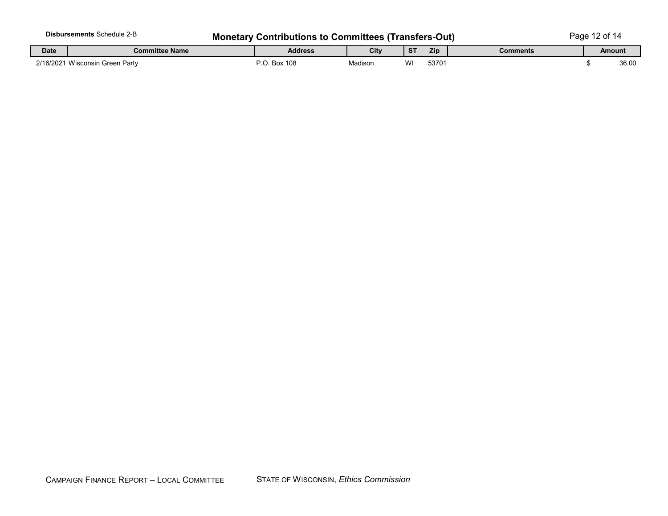|             | <b>Disbursements Schedule 2-B</b> | <b>Monetary Contributions to Committees (Transfers-Out)</b> |         |           |       |          | Page 12 of 14 |        |  |  |  |
|-------------|-----------------------------------|-------------------------------------------------------------|---------|-----------|-------|----------|---------------|--------|--|--|--|
| <b>Date</b> | <b>Committee Name</b>             | <b>Address</b>                                              | City    | <b>ST</b> | Zip   | Comments |               | Amount |  |  |  |
|             | 2/16/2021 Wisconsin Green Party   | P.O. Box 108                                                | Madison | WI        | 53701 |          |               | 36.00  |  |  |  |

t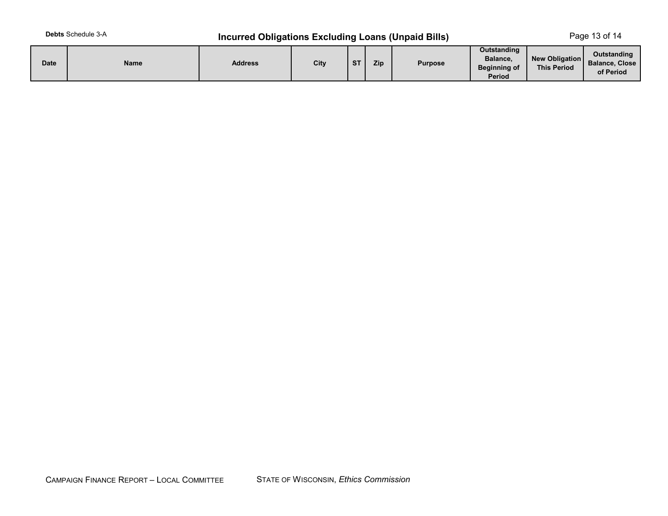# **Debts** Schedule 3-A **Incurred Obligations Excluding Loans (Unpaid Bills)** Page 13 of 14

| <b>Date</b> | <b>Name</b> | <b>Address</b> | City | <b>ST</b> | Zip | <b>Purpose</b> | <b>Outstanding</b><br>Balance,<br><b>Beginning of</b><br>Period | New Obligation<br><b>This Period</b> | <b>Outstanding</b><br><b>Balance, Close</b><br>of Period |
|-------------|-------------|----------------|------|-----------|-----|----------------|-----------------------------------------------------------------|--------------------------------------|----------------------------------------------------------|
|-------------|-------------|----------------|------|-----------|-----|----------------|-----------------------------------------------------------------|--------------------------------------|----------------------------------------------------------|